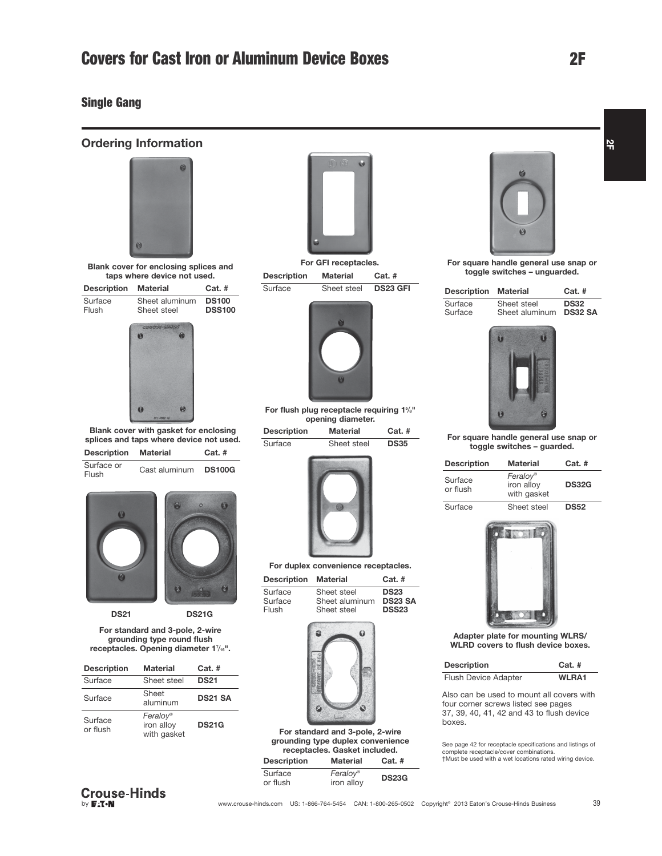### Single Gang

Ordering Information





DS21 DS21G

For standard and 3-pole, 2-wire grounding type round flush receptacles. Opening diameter 17/16".

| <b>Description</b>  | <b>Material</b>                       | $Cat.$ #       |
|---------------------|---------------------------------------|----------------|
| Surface             | Sheet steel                           | <b>DS21</b>    |
| Surface             | Sheet<br>aluminum                     | <b>DS21 SA</b> |
| Surface<br>or flush | Feralov®<br>iron alloy<br>with gasket | <b>DS21G</b>   |





For GFI receptacles. Description Material Cat. # Surface Sheet steel DS23 GFI



For flush plug receptacle requiring 1%" opening diameter.

Description Material Cat. # Surface Sheet steel DS35



For duplex convenience receptacles.

| <b>Description</b> | <b>Material</b> | $Cat.$ #       |
|--------------------|-----------------|----------------|
| Surface            | Sheet steel     | <b>DS23</b>    |
| Surface            | Sheet aluminum  | <b>DS23 SA</b> |
| Flush              | Sheet steel     | <b>DSS23</b>   |



For standard and 3-pole, 2-wire grounding type duplex convenience receptacles. Gasket included. Description Material Cat. #

| Surface<br>or flush | <b>Feralov®</b><br>iron alloy | <b>DS23G</b> |
|---------------------|-------------------------------|--------------|
|                     |                               |              |



For square handle general use snap or toggle switches – unguarded.

| <b>Description Material</b> |                | $Cat.$ #       |
|-----------------------------|----------------|----------------|
| Surface                     | Sheet steel    | <b>DS32</b>    |
| Surface                     | Sheet aluminum | <b>DS32 SA</b> |



For square handle general use snap or toggle switches – guarded.

| <b>Description</b>  | <b>Material</b><br>$Cat.$ #           |              |
|---------------------|---------------------------------------|--------------|
| Surface<br>or flush | Feralov®<br>iron alloy<br>with gasket | <b>DS32G</b> |
| Surface             | Sheet steel                           | <b>DS52</b>  |



Adapter plate for mounting WLRS/ WLRD covers to flush device boxes.

| <b>Description</b>   | $Cat.$ #     |
|----------------------|--------------|
| Flush Device Adapter | <b>WLRA1</b> |

Also can be used to mount all covers with four corner screws listed see pages 37, 39, 40, 41, 42 and 43 to flush device boxes.

See page 42 for receptacle specifications and listings of complete receptacle/cover combinations. †Must be used with a wet locations rated wiring device.

 $\frac{1}{2}$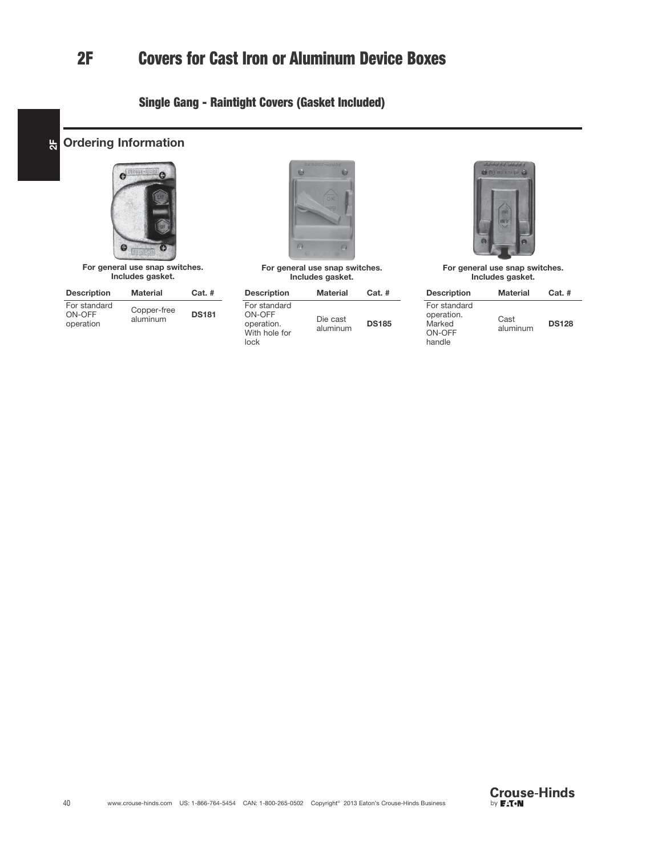# 2F Covers for Cast Iron or Aluminum Device Boxes

# Single Gang - Raintight Covers (Gasket Included)





For general use snap switches. Includes gasket.

| <b>Description</b>                  | <b>Material</b>         | $Cat.$ #     |
|-------------------------------------|-------------------------|--------------|
| For standard<br>ON-OFF<br>operation | Copper-free<br>aluminum | <b>DS181</b> |



For general use snap switches. Includes gasket.

| <b>Description</b>                                            | <b>Material</b>      | $Cat.$ #     |
|---------------------------------------------------------------|----------------------|--------------|
| For standard<br>ON-OFF<br>operation.<br>With hole for<br>lock | Die cast<br>aluminum | <b>DS185</b> |



For general use snap switches. Includes gasket.

| <b>Description</b>                                       | <b>Material</b>  | $Cat.$ #     |
|----------------------------------------------------------|------------------|--------------|
| For standard<br>operation.<br>Marked<br>ON-OFF<br>handle | Cast<br>aluminum | <b>DS128</b> |

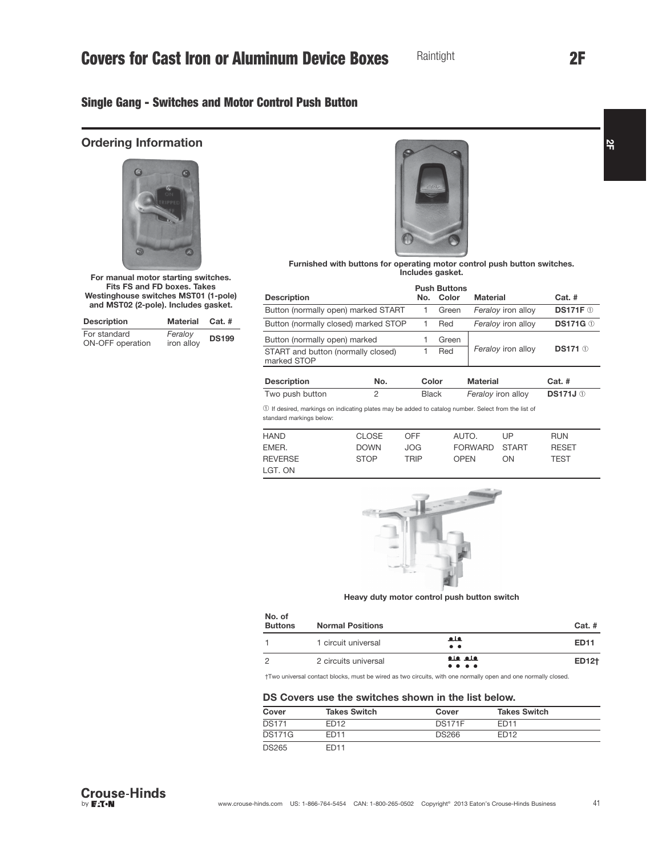# Single Gang - Switches and Motor Control Push Button

## Ordering Information



For manual motor starting switches. Fits FS and FD boxes. Takes Westinghouse switches MST01 (1-pole) and MST02 (2-pole). Includes gasket.

| <b>Description</b>               | Material Cat. #       |              |
|----------------------------------|-----------------------|--------------|
| For standard<br>ON-OFF operation | Feraloy<br>iron alloy | <b>DS199</b> |



Furnished with buttons for operating motor control push button switches. Includes gasket.

|                                                                                                                                  |                |                                    | <b>Push Buttons</b> |                    |                 |  |
|----------------------------------------------------------------------------------------------------------------------------------|----------------|------------------------------------|---------------------|--------------------|-----------------|--|
| <b>Description</b>                                                                                                               |                | No. Color                          |                     | <b>Material</b>    | $Cat.$ #        |  |
| Button (normally open) marked START                                                                                              |                | 1                                  | Green               | Feraloy iron alloy | <b>DS171F</b> 1 |  |
| Button (normally closed) marked STOP                                                                                             |                | 1                                  | Red                 | Feraloy iron alloy | <b>DS171G</b> 1 |  |
| Button (normally open) marked                                                                                                    |                |                                    | Green               |                    |                 |  |
| START and button (normally closed)<br>marked STOP                                                                                |                | Red                                |                     | Feraloy iron alloy | <b>DS171 ①</b>  |  |
| <b>Description</b>                                                                                                               | No.            | Color                              |                     | <b>Material</b>    | $Cat.$ #        |  |
| Two push button                                                                                                                  | $\overline{2}$ | Feraloy iron alloy<br><b>Black</b> |                     | <b>DS171J</b> ①    |                 |  |
| 1) If desired, markings on indicating plates may be added to catalog number. Select from the list of<br>standard markings below: |                |                                    |                     |                    |                 |  |

| <b>HAND</b>    | <b>CLOSE</b> | OFF  | AUTO.         | UP  | <b>RUN</b>   |
|----------------|--------------|------|---------------|-----|--------------|
| EMER.          | <b>DOWN</b>  | JOG  | FORWARD START |     | <b>RESET</b> |
| <b>REVERSE</b> | <b>STOP</b>  | TRIP | OPFN          | ON. | TEST         |
| LGT. ON        |              |      |               |     |              |



Heavy duty motor control push button switch

| No. of<br><b>Buttons</b> | <b>Normal Positions</b> |                                                                                                                     | $Cat.$ #    |
|--------------------------|-------------------------|---------------------------------------------------------------------------------------------------------------------|-------------|
|                          | 1 circuit universal     | فلف<br>$\bullet\quad \bullet$                                                                                       | <b>ED11</b> |
| っ                        | 2 circuits universal    | <u>ala ala</u><br>$\bullet\hspace{0.1cm} \bullet\hspace{0.1cm} \bullet\hspace{0.1cm} \bullet\hspace{0.1cm} \bullet$ | ED12†       |

†Two universal contact blocks, must be wired as two circuits, with one normally open and one normally closed.

### DS Covers use the switches shown in the list below.

| Cover         | <b>Takes Switch</b> | Cover         | <b>Takes Switch</b> |  |
|---------------|---------------------|---------------|---------------------|--|
| <b>DS171</b>  | FD <sub>12</sub>    | <b>DS171F</b> | <b>FD11</b>         |  |
| <b>DS171G</b> | <b>FD11</b>         | <b>DS266</b>  | <b>FD12</b>         |  |
| <b>DS265</b>  | <b>FD11</b>         |               |                     |  |

2F

 $\frac{1}{2}$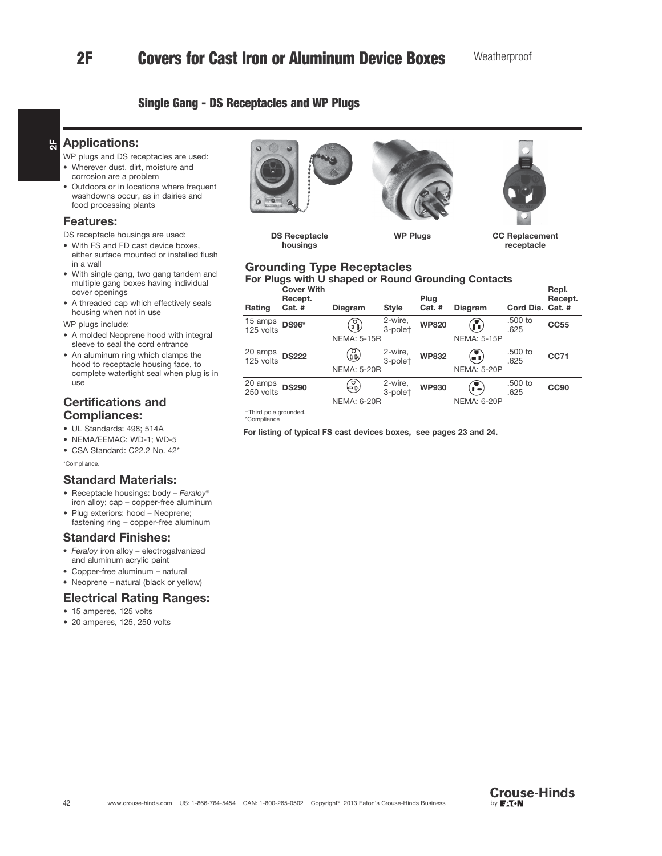# 2F Covers for Cast Iron or Aluminum Device Boxes

### Single Gang - DS Receptacles and WP Plugs

#### $\frac{1}{2}$ Applications:

- WP plugs and DS receptacles are used:
- Wherever dust, dirt, moisture and corrosion are a problem
- Outdoors or in locations where frequent washdowns occur, as in dairies and food processing plants

### Features:

DS receptacle housings are used:

- With FS and FD cast device boxes, either surface mounted or installed flush in a wall
- With single gang, two gang tandem and multiple gang boxes having individual cover openings
- A threaded cap which effectively seals housing when not in use

WP plugs include:

- A molded Neoprene hood with integral sleeve to seal the cord entrance
- An aluminum ring which clamps the hood to receptacle housing face, to complete watertight seal when plug is in use

### Certifications and Compliances:

- UL Standards: 498; 514A
- NEMA/EEMAC: WD-1; WD-5
- CSA Standard: C22.2 No. 42\*

\*Compliance.

### Standard Materials:

- Receptacle housings: body Feraloy® iron alloy; cap – copper-free aluminum
- Plug exteriors: hood Neoprene; fastening ring – copper-free aluminum

### Standard Finishes:

- Feraloy iron alloy electrogalvanized and aluminum acrylic paint
- Copper-free aluminum natural
- Neoprene natural (black or yellow)

### Electrical Rating Ranges:

- 15 amperes, 125 volts
- 20 amperes, 125, 250 volts



DS Receptacle housings



WP Plugs **CC Replacement** receptacle

### Grounding Type Receptacles For Plugs with U shaped or Round Grounding Contacts

| Rating               | <b>Cover With</b><br>Recept.<br>$Cat.$ # | <b>Diagram</b>          | <b>Style</b>       | Plug<br>$Cat.$ # | <b>Diagram</b>                                                             | Cord Dia. Cat. # | Repl.<br>Recept. |
|----------------------|------------------------------------------|-------------------------|--------------------|------------------|----------------------------------------------------------------------------|------------------|------------------|
| 15 amps<br>125 volts | <b>DS96*</b>                             | ⋒<br><b>NEMA: 5-15R</b> | 2-wire,<br>3-polet | <b>WP820</b>     | $\bf{r}$<br><b>NEMA: 5-15P</b>                                             | .500 to<br>.625  | <b>CC55</b>      |
|                      |                                          |                         |                    |                  |                                                                            |                  |                  |
| 20 amps<br>125 volts | <b>DS222</b>                             | $\mathbb{G}$            | 2-wire,<br>3-polet | <b>WP832</b>     | $\left( \begin{matrix} \bullet \\ \bullet \\ \bullet \end{matrix} \right)$ | .500 to<br>.625  | <b>CC71</b>      |
|                      |                                          | <b>NEMA: 5-20R</b>      |                    |                  | <b>NEMA: 5-20P</b>                                                         |                  |                  |
| 20 amps<br>250 volts | <b>DS290</b>                             | €                       | 2-wire,<br>3-polet | <b>WP930</b>     | Æ                                                                          | .500 to<br>.625  | <b>CC90</b>      |
|                      |                                          | <b>NEMA: 6-20R</b>      |                    |                  | <b>NEMA: 6-20P</b>                                                         |                  |                  |

†Third pole grounded. \*Compliance

For listing of typical FS cast devices boxes, see pages 23 and 24.